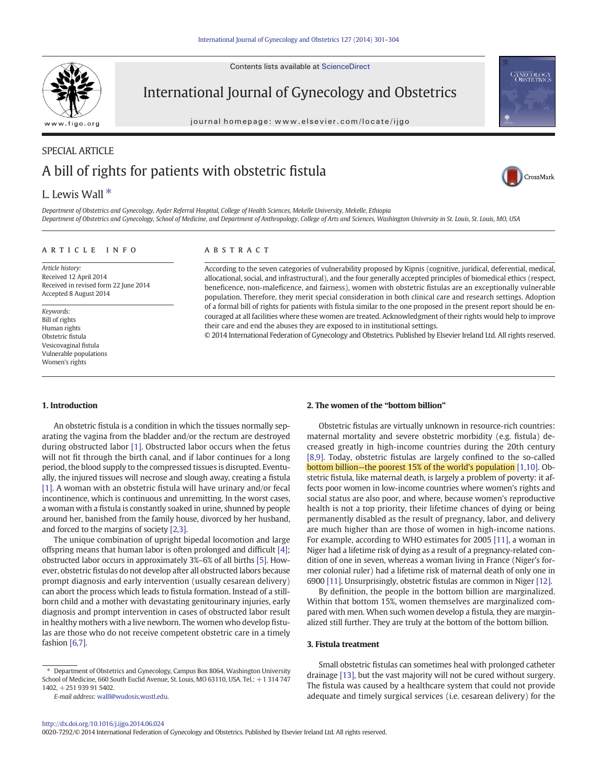Contents lists available at ScienceDirect



International Journal of Gynecology and Obstetrics

journal homepage: www.elsevier.com/locate/ijgo

# SPECIAL ARTICLE A bill of rights for patients with obstetric fistula



**GYNECOLOGY** 

L. Lewis Wall<sup>\*</sup>

Department of Obstetrics and Gynecology, Ayder Referral Hospital, College of Health Sciences, Mekelle University, Mekelle, Ethiopia Department of Obstetrics and Gynecology, School of Medicine, and Department of Anthropology, College of Arts and Sciences, Washington University in St. Louis, St. Louis, MO, USA

#### article info abstract

Article history: Received 12 April 2014 Received in revised form 22 June 2014 Accepted 8 August 2014

Keywords: Bill of rights Human rights Obstetric fistula Vesicovaginal fistula Vulnerable populations Women's rights

According to the seven categories of vulnerability proposed by Kipnis (cognitive, juridical, deferential, medical, allocational, social, and infrastructural), and the four generally accepted principles of biomedical ethics (respect, beneficence, non-maleficence, and fairness), women with obstetric fistulas are an exceptionally vulnerable population. Therefore, they merit special consideration in both clinical care and research settings. Adoption of a formal bill of rights for patients with fistula similar to the one proposed in the present report should be encouraged at all facilities where these women are treated. Acknowledgment of their rights would help to improve their care and end the abuses they are exposed to in institutional settings.

© 2014 International Federation of Gynecology and Obstetrics. Published by Elsevier Ireland Ltd. All rights reserved.

# 1. Introduction

An obstetric fistula is a condition in which the tissues normally separating the vagina from the bladder and/or the rectum are destroyed during obstructed labor [\[1\].](#page-2-0) Obstructed labor occurs when the fetus will not fit through the birth canal, and if labor continues for a long period, the blood supply to the compressed tissues is disrupted. Eventually, the injured tissues will necrose and slough away, creating a fistula [\[1\].](#page-2-0) A woman with an obstetric fistula will have urinary and/or fecal incontinence, which is continuous and unremitting. In the worst cases, a woman with a fistula is constantly soaked in urine, shunned by people around her, banished from the family house, divorced by her husband, and forced to the margins of society [\[2,3\]](#page-2-0).

The unique combination of upright bipedal locomotion and large offspring means that human labor is often prolonged and difficult [\[4\];](#page-2-0) obstructed labor occurs in approximately 3%–6% of all births [\[5\].](#page-2-0) However, obstetric fistulas do not develop after all obstructed labors because prompt diagnosis and early intervention (usually cesarean delivery) can abort the process which leads to fistula formation. Instead of a stillborn child and a mother with devastating genitourinary injuries, early diagnosis and prompt intervention in cases of obstructed labor result in healthy mothers with a live newborn. The women who develop fistulas are those who do not receive competent obstetric care in a timely fashion [\[6,7\].](#page-2-0)

E-mail address: [walll@wudosis.wustl.edu](mailto:walll@wudosis.wustl.edu).

#### 2. The women of the "bottom billion"

Obstetric fistulas are virtually unknown in resource-rich countries: maternal mortality and severe obstetric morbidity (e.g. fistula) decreased greatly in high-income countries during the 20th century [\[8,9\]](#page-2-0). Today, obstetric fistulas are largely confined to the so-called bottom billion—the poorest 15% of the world's population [\[1,10\]](#page-2-0). Obstetric fistula, like maternal death, is largely a problem of poverty: it affects poor women in low-income countries where women's rights and social status are also poor, and where, because women's reproductive health is not a top priority, their lifetime chances of dying or being permanently disabled as the result of pregnancy, labor, and delivery are much higher than are those of women in high-income nations. For example, according to WHO estimates for 2005 [\[11\]](#page-2-0), a woman in Niger had a lifetime risk of dying as a result of a pregnancy-related condition of one in seven, whereas a woman living in France (Niger's former colonial ruler) had a lifetime risk of maternal death of only one in 6900 [\[11\].](#page-2-0) Unsurprisingly, obstetric fistulas are common in Niger [\[12\].](#page-2-0)

By definition, the people in the bottom billion are marginalized. Within that bottom 15%, women themselves are marginalized compared with men. When such women develop a fistula, they are marginalized still further. They are truly at the bottom of the bottom billion.

# 3. Fistula treatment

Small obstetric fistulas can sometimes heal with prolonged catheter drainage [\[13\]](#page-2-0), but the vast majority will not be cured without surgery. The fistula was caused by a healthcare system that could not provide adequate and timely surgical services (i.e. cesarean delivery) for the

0020-7292/© 2014 International Federation of Gynecology and Obstetrics. Published by Elsevier Ireland Ltd. All rights reserved.

Department of Obstetrics and Gynecology, Campus Box 8064, Washington University School of Medicine, 660 South Euclid Avenue, St. Louis, MO 63110, USA. Tel.: +1 314 747 1402, +251 939 91 5402.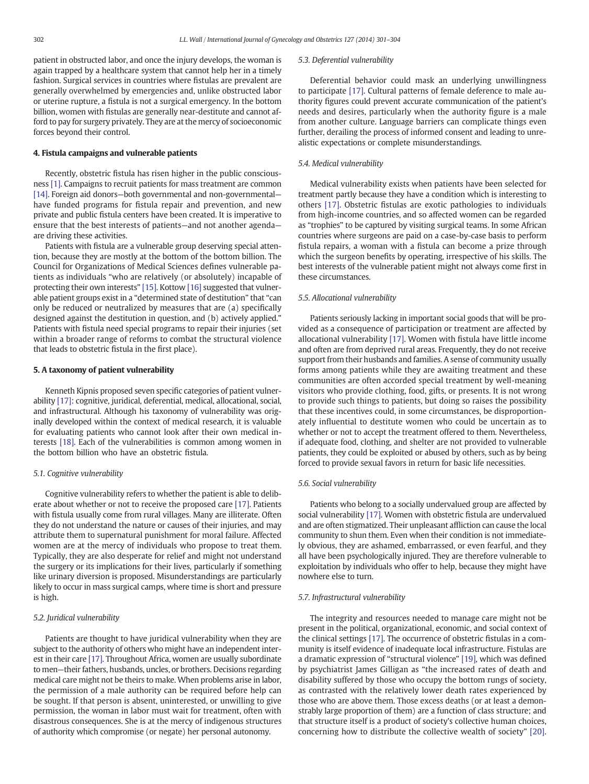patient in obstructed labor, and once the injury develops, the woman is again trapped by a healthcare system that cannot help her in a timely fashion. Surgical services in countries where fistulas are prevalent are generally overwhelmed by emergencies and, unlike obstructed labor or uterine rupture, a fistula is not a surgical emergency. In the bottom billion, women with fistulas are generally near-destitute and cannot afford to pay for surgery privately. They are at the mercy of socioeconomic forces beyond their control.

#### 4. Fistula campaigns and vulnerable patients

Recently, obstetric fistula has risen higher in the public consciousness [\[1\]](#page-2-0). Campaigns to recruit patients for mass treatment are common [\[14\]](#page-2-0). Foreign aid donors—both governmental and non-governmental have funded programs for fistula repair and prevention, and new private and public fistula centers have been created. It is imperative to ensure that the best interests of patients—and not another agenda are driving these activities.

Patients with fistula are a vulnerable group deserving special attention, because they are mostly at the bottom of the bottom billion. The Council for Organizations of Medical Sciences defines vulnerable patients as individuals "who are relatively (or absolutely) incapable of protecting their own interests" [\[15\]](#page-3-0). Kottow [\[16\]](#page-3-0) suggested that vulnerable patient groups exist in a "determined state of destitution" that "can only be reduced or neutralized by measures that are (a) specifically designed against the destitution in question, and (b) actively applied." Patients with fistula need special programs to repair their injuries (set within a broader range of reforms to combat the structural violence that leads to obstetric fistula in the first place).

#### 5. A taxonomy of patient vulnerability

Kenneth Kipnis proposed seven specific categories of patient vulnerability [\[17\]](#page-3-0): cognitive, juridical, deferential, medical, allocational, social, and infrastructural. Although his taxonomy of vulnerability was originally developed within the context of medical research, it is valuable for evaluating patients who cannot look after their own medical interests [\[18\].](#page-3-0) Each of the vulnerabilities is common among women in the bottom billion who have an obstetric fistula.

#### 5.1. Cognitive vulnerability

Cognitive vulnerability refers to whether the patient is able to deliberate about whether or not to receive the proposed care [\[17\]](#page-3-0). Patients with fistula usually come from rural villages. Many are illiterate. Often they do not understand the nature or causes of their injuries, and may attribute them to supernatural punishment for moral failure. Affected women are at the mercy of individuals who propose to treat them. Typically, they are also desperate for relief and might not understand the surgery or its implications for their lives, particularly if something like urinary diversion is proposed. Misunderstandings are particularly likely to occur in mass surgical camps, where time is short and pressure is high.

# 5.2. Juridical vulnerability

Patients are thought to have juridical vulnerability when they are subject to the authority of others who might have an independent interest in their care [\[17\].](#page-3-0) Throughout Africa, women are usually subordinate to men—their fathers, husbands, uncles, or brothers. Decisions regarding medical care might not be theirs to make. When problems arise in labor, the permission of a male authority can be required before help can be sought. If that person is absent, uninterested, or unwilling to give permission, the woman in labor must wait for treatment, often with disastrous consequences. She is at the mercy of indigenous structures of authority which compromise (or negate) her personal autonomy.

### 5.3. Deferential vulnerability

Deferential behavior could mask an underlying unwillingness to participate [\[17\].](#page-3-0) Cultural patterns of female deference to male authority figures could prevent accurate communication of the patient's needs and desires, particularly when the authority figure is a male from another culture. Language barriers can complicate things even further, derailing the process of informed consent and leading to unrealistic expectations or complete misunderstandings.

#### 5.4. Medical vulnerability

Medical vulnerability exists when patients have been selected for treatment partly because they have a condition which is interesting to others [\[17\]](#page-3-0). Obstetric fistulas are exotic pathologies to individuals from high-income countries, and so affected women can be regarded as "trophies" to be captured by visiting surgical teams. In some African countries where surgeons are paid on a case-by-case basis to perform fistula repairs, a woman with a fistula can become a prize through which the surgeon benefits by operating, irrespective of his skills. The best interests of the vulnerable patient might not always come first in these circumstances.

#### 5.5. Allocational vulnerability

Patients seriously lacking in important social goods that will be provided as a consequence of participation or treatment are affected by allocational vulnerability [\[17\].](#page-3-0) Women with fistula have little income and often are from deprived rural areas. Frequently, they do not receive support from their husbands and families. A sense of community usually forms among patients while they are awaiting treatment and these communities are often accorded special treatment by well-meaning visitors who provide clothing, food, gifts, or presents. It is not wrong to provide such things to patients, but doing so raises the possibility that these incentives could, in some circumstances, be disproportionately influential to destitute women who could be uncertain as to whether or not to accept the treatment offered to them. Nevertheless, if adequate food, clothing, and shelter are not provided to vulnerable patients, they could be exploited or abused by others, such as by being forced to provide sexual favors in return for basic life necessities.

#### 5.6. Social vulnerability

Patients who belong to a socially undervalued group are affected by social vulnerability [\[17\]](#page-3-0). Women with obstetric fistula are undervalued and are often stigmatized. Their unpleasant affliction can cause the local community to shun them. Even when their condition is not immediately obvious, they are ashamed, embarrassed, or even fearful, and they all have been psychologically injured. They are therefore vulnerable to exploitation by individuals who offer to help, because they might have nowhere else to turn.

#### 5.7. Infrastructural vulnerability

The integrity and resources needed to manage care might not be present in the political, organizational, economic, and social context of the clinical settings [\[17\].](#page-3-0) The occurrence of obstetric fistulas in a community is itself evidence of inadequate local infrastructure. Fistulas are a dramatic expression of "structural violence" [\[19\]](#page-3-0), which was defined by psychiatrist James Gilligan as "the increased rates of death and disability suffered by those who occupy the bottom rungs of society, as contrasted with the relatively lower death rates experienced by those who are above them. Those excess deaths (or at least a demonstrably large proportion of them) are a function of class structure; and that structure itself is a product of society's collective human choices, concerning how to distribute the collective wealth of society" [\[20\].](#page-3-0)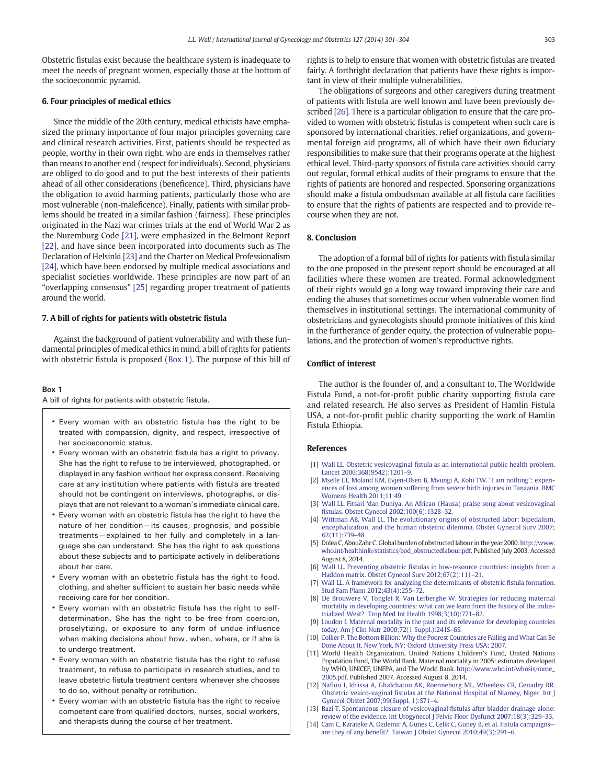<span id="page-2-0"></span>Obstetric fistulas exist because the healthcare system is inadequate to meet the needs of pregnant women, especially those at the bottom of the socioeconomic pyramid.

# 6. Four principles of medical ethics

Since the middle of the 20th century, medical ethicists have emphasized the primary importance of four major principles governing care and clinical research activities. First, patients should be respected as people, worthy in their own right, who are ends in themselves rather than means to another end (respect for individuals). Second, physicians are obliged to do good and to put the best interests of their patients ahead of all other considerations (beneficence). Third, physicians have the obligation to avoid harming patients, particularly those who are most vulnerable (non-maleficence). Finally, patients with similar problems should be treated in a similar fashion (fairness). These principles originated in the Nazi war crimes trials at the end of World War 2 as the Nuremburg Code [\[21\]](#page-3-0), were emphasized in the Belmont Report [\[22\]](#page-3-0), and have since been incorporated into documents such as The Declaration of Helsinki [\[23\]](#page-3-0) and the Charter on Medical Professionalism [\[24\]](#page-3-0), which have been endorsed by multiple medical associations and specialist societies worldwide. These principles are now part of an "overlapping consensus" [\[25\]](#page-3-0) regarding proper treatment of patients around the world.

#### 7. A bill of rights for patients with obstetric fistula

Against the background of patient vulnerability and with these fundamental principles of medical ethics in mind, a bill of rights for patients with obstetric fistula is proposed (Box 1). The purpose of this bill of

# Box 1

A bill of rights for patients with obstetric fistula.

- Every woman with an obstetric fistula has the right to be treated with compassion, dignity, and respect, irrespective of her socioeconomic status.
- Every woman with an obstetric fistula has a right to privacy. She has the right to refuse to be interviewed, photographed, or displayed in any fashion without her express consent. Receiving care at any institution where patients with fistula are treated should not be contingent on interviews, photographs, or displays that are not relevant to a woman's immediate clinical care.
- Every woman with an obstetric fistula has the right to have the nature of her condition—its causes, prognosis, and possible treatments—explained to her fully and completely in a language she can understand. She has the right to ask questions about these subjects and to participate actively in deliberations about her care.
- Every woman with an obstetric fistula has the right to food, clothing, and shelter sufficient to sustain her basic needs while receiving care for her condition.
- Every woman with an obstetric fistula has the right to selfdetermination. She has the right to be free from coercion, proselytizing, or exposure to any form of undue influence when making decisions about how, when, where, or if she is to undergo treatment.
- Every woman with an obstetric fistula has the right to refuse treatment, to refuse to participate in research studies, and to leave obstetric fistula treatment centers whenever she chooses to do so, without penalty or retribution.
- Every woman with an obstetric fistula has the right to receive competent care from qualified doctors, nurses, social workers, and therapists during the course of her treatment.

rights is to help to ensure that women with obstetric fistulas are treated fairly. A forthright declaration that patients have these rights is important in view of their multiple vulnerabilities.

The obligations of surgeons and other caregivers during treatment of patients with fistula are well known and have been previously described [\[26\]](#page-3-0). There is a particular obligation to ensure that the care provided to women with obstetric fistulas is competent when such care is sponsored by international charities, relief organizations, and governmental foreign aid programs, all of which have their own fiduciary responsibilities to make sure that their programs operate at the highest ethical level. Third-party sponsors of fistula care activities should carry out regular, formal ethical audits of their programs to ensure that the rights of patients are honored and respected. Sponsoring organizations should make a fistula ombudsman available at all fistula care facilities to ensure that the rights of patients are respected and to provide recourse when they are not.

# 8. Conclusion

The adoption of a formal bill of rights for patients with fistula similar to the one proposed in the present report should be encouraged at all facilities where these women are treated. Formal acknowledgment of their rights would go a long way toward improving their care and ending the abuses that sometimes occur when vulnerable women find themselves in institutional settings. The international community of obstetricians and gynecologists should promote initiatives of this kind in the furtherance of gender equity, the protection of vulnerable populations, and the protection of women's reproductive rights.

# Conflict of interest

The author is the founder of, and a consultant to, The Worldwide Fistula Fund, a not-for-profit public charity supporting fistula care and related research. He also serves as President of Hamlin Fistula USA, a not-for-profit public charity supporting the work of Hamlin Fistula Ethiopia.

#### References

- [1] Wall LL. Obstetric vesicovaginal fi[stula as an international public health problem.](http://refhub.elsevier.com/S0020-7292(14)00421-4/rf0005) [Lancet 2006;368\(9542\):1201](http://refhub.elsevier.com/S0020-7292(14)00421-4/rf0005)–9.
- [2] [Mselle LT, Moland KM, Evjen-Olsen B, Mvungi A, Kohi TW.](http://refhub.elsevier.com/S0020-7292(14)00421-4/rf0010) "I am nothing": experi[ences of loss among women suffering from severe birth injuries in Tanzania. BMC](http://refhub.elsevier.com/S0020-7292(14)00421-4/rf0010) [Womens Health 2011;11:49.](http://refhub.elsevier.com/S0020-7292(14)00421-4/rf0010)
- [3] Wall LL. Fitsari '[dan Duniya. An African \(Hausa\) praise song about vesicovaginal](http://refhub.elsevier.com/S0020-7292(14)00421-4/rf0015) fi[stulas. Obstet Gynecol 2002;100\(6\):1328](http://refhub.elsevier.com/S0020-7292(14)00421-4/rf0015)–32.
- [4] [Wittman AB, Wall LL. The evolutionary origins of obstructed labor: bipedalism,](http://refhub.elsevier.com/S0020-7292(14)00421-4/rf0020) [encephalization, and the human obstetric dilemma. Obstet Gynecol Surv 2007;](http://refhub.elsevier.com/S0020-7292(14)00421-4/rf0020) [62\(11\):739](http://refhub.elsevier.com/S0020-7292(14)00421-4/rf0020)–48.
- [5] Dolea C, AbouZahr C. Global burden of obstructed labour in the year 2000. [http://www.](http://www.who.int/healthinfo/statistics/bod_obstructedlabour.pdf) [who.int/healthinfo/statistics/bod\\_obstructedlabour.pdf](http://www.who.int/healthinfo/statistics/bod_obstructedlabour.pdf). Published July 2003. Accessed August 8, 2014.
- [6] Wall LL. Preventing obstetric fi[stulas in low-resource countries: insights from a](http://refhub.elsevier.com/S0020-7292(14)00421-4/rf0025) [Haddon matrix. Obstet Gynecol Surv 2012;67\(2\):111](http://refhub.elsevier.com/S0020-7292(14)00421-4/rf0025)–21.
- [7] [Wall LL. A framework for analyzing the determinants of obstetric](http://refhub.elsevier.com/S0020-7292(14)00421-4/rf0030) fistula formation. [Stud Fam Plann 2012;43\(4\):255](http://refhub.elsevier.com/S0020-7292(14)00421-4/rf0030)–72.
- [8] [De Brouwere V, Tonglet R, Van Lerberghe W. Strategies for reducing maternal](http://refhub.elsevier.com/S0020-7292(14)00421-4/rf0035) [mortality in developing countries: what can we learn from the history of the indus](http://refhub.elsevier.com/S0020-7292(14)00421-4/rf0035)[trialized West? Trop Med Int Health 1998;3\(10\):771](http://refhub.elsevier.com/S0020-7292(14)00421-4/rf0035)–82.
- [9] [Loudon I. Maternal mortality in the past and its relevance for developing countries](http://refhub.elsevier.com/S0020-7292(14)00421-4/rf0040) [today. Am J Clin Nutr 2000;72\(1 Suppl.\):241S](http://refhub.elsevier.com/S0020-7292(14)00421-4/rf0040)–6S.
- [10] [Collier P. The Bottom Billion: Why the Poorest Countries are Failing and What Can Be](http://refhub.elsevier.com/S0020-7292(14)00421-4/rf0045) [Done About It. New York, NY: Oxford University Press USA; 2007.](http://refhub.elsevier.com/S0020-7292(14)00421-4/rf0045)
- [11] World Health Organization, United Nations Children's Fund, United Nations Population Fund, The World Bank. Maternal mortality in 2005: estimates developed by WHO, UNICEF, UNFPA, and The World Bank. [http://www.who.int/whosis/mme\\_](http://www.who.int/whosis/mme_2005.pdf) [2005.pdf.](http://www.who.int/whosis/mme_2005.pdf) Published 2007. Accessed August 8, 2014.
- [12] Nafi[ou I, Idrissa A, Ghaïchatou AK, Roenneburg ML, Wheeless CR, Genadry RR.](http://refhub.elsevier.com/S0020-7292(14)00421-4/rf0050) Obstetric vesico-vaginal fi[stulas at the National Hospital of Niamey, Niger. Int J](http://refhub.elsevier.com/S0020-7292(14)00421-4/rf0050) [Gynecol Obstet 2007;99\(Suppl. 1\):S71](http://refhub.elsevier.com/S0020-7292(14)00421-4/rf0050)–4.
- [13] [Bazi T. Spontaneous closure of vesicovaginal](http://refhub.elsevier.com/S0020-7292(14)00421-4/rf0055) fistulas after bladder drainage alone: [review of the evidence. Int Urogynecol J Pelvic Floor Dysfunct 2007;18\(3\):329](http://refhub.elsevier.com/S0020-7292(14)00421-4/rf0055)–33.
- [14] [Cam C, Karateke A, Ozdemir A, Gunes C, Celik C, Guney B, et al. Fistula campaigns](http://refhub.elsevier.com/S0020-7292(14)00421-4/rf0060) are they of any benefi[t? Taiwan J Obstet Gynecol 2010;49\(3\):291](http://refhub.elsevier.com/S0020-7292(14)00421-4/rf0060)–6.